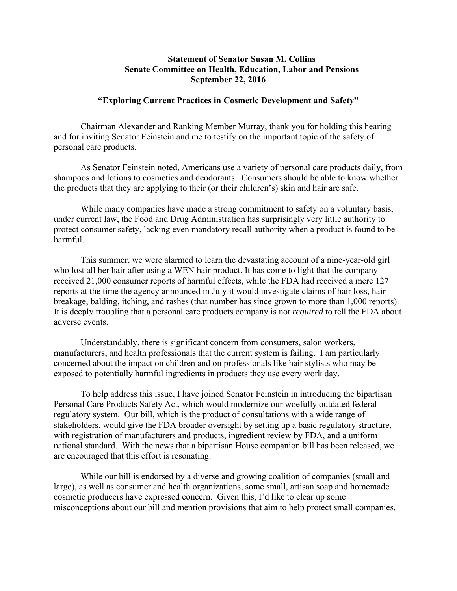## **Statement of Senator Susan M. Collins Senate Committee on Health, Education, Labor and Pensions September 22, 2016**

## **"Exploring Current Practices in Cosmetic Development and Safety"**

Chairman Alexander and Ranking Member Murray, thank you for holding this hearing and for inviting Senator Feinstein and me to testify on the important topic of the safety of personal care products.

As Senator Feinstein noted, Americans use a variety of personal care products daily, from shampoos and lotions to cosmetics and deodorants. Consumers should be able to know whether the products that they are applying to their (or their children's) skin and hair are safe.

While many companies have made a strong commitment to safety on a voluntary basis, under current law, the Food and Drug Administration has surprisingly very little authority to protect consumer safety, lacking even mandatory recall authority when a product is found to be harmful.

This summer, we were alarmed to learn the devastating account of a nine-year-old girl who lost all her hair after using a WEN hair product. It has come to light that the company received 21,000 consumer reports of harmful effects, while the FDA had received a mere 127 reports at the time the agency announced in July it would investigate claims of hair loss, hair breakage, balding, itching, and rashes (that number has since grown to more than 1,000 reports). It is deeply troubling that a personal care products company is not *required* to tell the FDA about adverse events.

Understandably, there is significant concern from consumers, salon workers, manufacturers, and health professionals that the current system is failing. I am particularly concerned about the impact on children and on professionals like hair stylists who may be exposed to potentially harmful ingredients in products they use every work day.

To help address this issue, I have joined Senator Feinstein in introducing the bipartisan Personal Care Products Safety Act, which would modernize our woefully outdated federal regulatory system. Our bill, which is the product of consultations with a wide range of stakeholders, would give the FDA broader oversight by setting up a basic regulatory structure, with registration of manufacturers and products, ingredient review by FDA, and a uniform national standard. With the news that a bipartisan House companion bill has been released, we are encouraged that this effort is resonating.

While our bill is endorsed by a diverse and growing coalition of companies (small and large), as well as consumer and health organizations, some small, artisan soap and homemade cosmetic producers have expressed concern. Given this, I'd like to clear up some misconceptions about our bill and mention provisions that aim to help protect small companies.